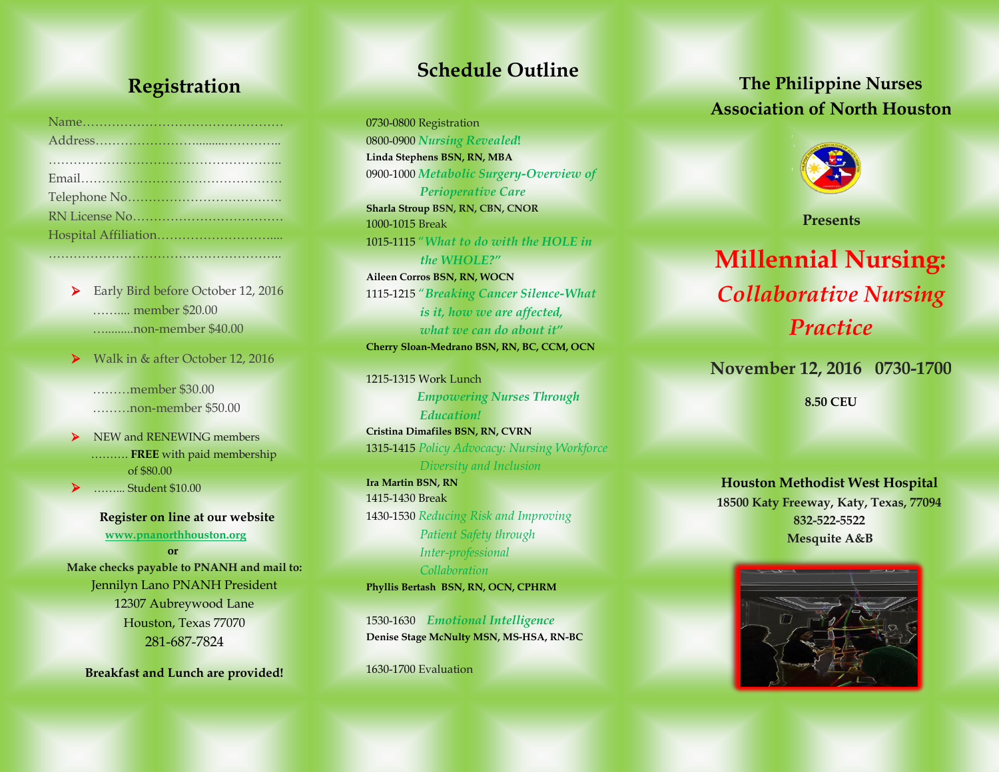### **Registration**

………………………………………………..

▶ Early Bird before October 12, 2016 …….... member \$20.00 ….........non-member \$40.00

Walk in & after October 12, 2016

 ………member \$30.00 ………non-member \$50.00

 $\triangleright$  NEW and RENEWING members ………. **FREE** with paid membership of \$80.00 ……... Student \$10.00

 **Register on line at our website [www.pnanorthhouston.org](http://www.pnanorthhouston.org/)** *<u> orientative orientative</u>* **Make checks payable to PNANH and mail to:** Jennilyn Lano PNANH President 12307 Aubreywood Lane Houston, Texas 77070

281-687-7824

**Breakfast and Lunch are provided!**

## **Schedule Outline**

0730-0800 Registration 0800-0900 *Nursing Revealed***! Linda Stephens BSN, RN, MBA** 0900-1000 *Metabolic Surgery-Overview of Perioperative Care*  **Sharla Stroup BSN, RN, CBN, CNOR** 1000-1015 Break 1015-1115 "*What to do with the HOLE in the WHOLE?"* **Aileen Corros BSN, RN, WOCN**

1115-1215 "*Breaking Cancer Silence-What is it, how we are affected, what we can do about it"* **Cherry Sloan-Medrano BSN, RN, BC, CCM, OCN**

1215-1315 Work Lunch *Empowering Nurses Through Education!* **Cristina Dimafiles BSN, RN, CVRN**  1315-1415 *Policy Advocacy: Nursing Workforce Diversity and Inclusion* **Ira Martin BSN, RN** 1415-1430 Break 1430-1530 *Reducing Risk and Improving Patient Safety through Inter-professional Collaboration*  **Phyllis Bertash BSN, RN, OCN, CPHRM** 

1530-1630 *Emotional Intelligence* **Denise Stage McNulty MSN, MS-HSA, RN-BC** 

1630-1700 Evaluation

## **The Philippine Nurses Association of North Houston**



 **Presents**

# **Millennial Nursing:** *Collaborative Nursing Practice*

**November 12, 2016 0730-1700**

**8.50 CEU**

**Houston Methodist West Hospital 18500 Katy Freeway, Katy, Texas, 77094 832-522-5522 Mesquite A&B**

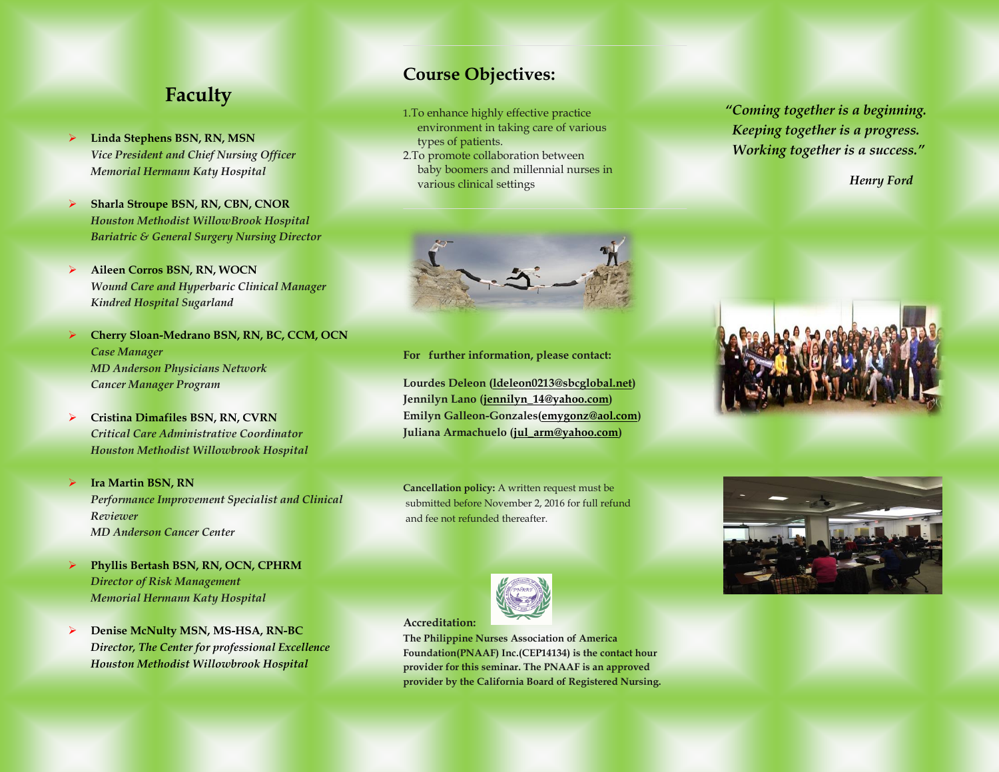### **Faculty**

- **Linda Stephens BSN, RN, MSN** *Vice President and Chief Nursing Officer Memorial Hermann Katy Hospital*
- **Sharla Stroupe BSN, RN, CBN, CNOR** *Houston Methodist WillowBrook Hospital Bariatric & General Surgery Nursing Director*
- **Aileen Corros BSN, RN, WOCN** *Wound Care and Hyperbaric Clinical Manager Kindred Hospital Sugarland*
- **Cherry Sloan-Medrano BSN, RN, BC, CCM, OCN** *Case Manager MD Anderson Physicians Network Cancer Manager Program*
- **Cristina Dimafiles BSN, RN, CVRN** *Critical Care Administrative Coordinator Houston Methodist Willowbrook Hospital*
- **Ira Martin BSN, RN** *Performance Improvement Specialist and Clinical Reviewer MD Anderson Cancer Center*
- **Phyllis Bertash BSN, RN, OCN, CPHRM** *Director of Risk Management Memorial Hermann Katy Hospital*
- **Denise McNulty MSN, MS-HSA, RN-BC** *Director, The Center for professional Excellence Houston Methodist Willowbrook Hospital*

#### **Course Objectives:**

- 1.To enhance highly effective practice environment in taking care of various types of patients.
- 2.To promote collaboration between baby boomers and millennial nurses in various clinical settings



**For further information, please contact:**

**Lourdes Deleon [\(ldeleon0213@sbcglobal.net\)](mailto:ldeleon0213@sbcglobal.net) Jennilyn Lano [\(jennilyn\\_14@yahoo.com\)](mailto:jennilyn_14@yahoo.com) Emilyn Galleon-Gonzales[\(emygonz@aol.com\)](mailto:emygonz@aol.com) Juliana Armachuelo [\(jul\\_arm@yahoo.com\)](mailto:jul_arm@yahoo.com)**

**Cancellation policy:** A written request must be submitted before November 2, 2016 for full refund and fee not refunded thereafter.



**Accreditation:**

**The Philippine Nurses Association of America Foundation(PNAAF) Inc.(CEP14134) is the contact hour provider for this seminar. The PNAAF is an approved provider by the California Board of Registered Nursing.**  *"Coming together is a beginning. Keeping together is a progress. Working together is a success."* 

*Henry Ford*